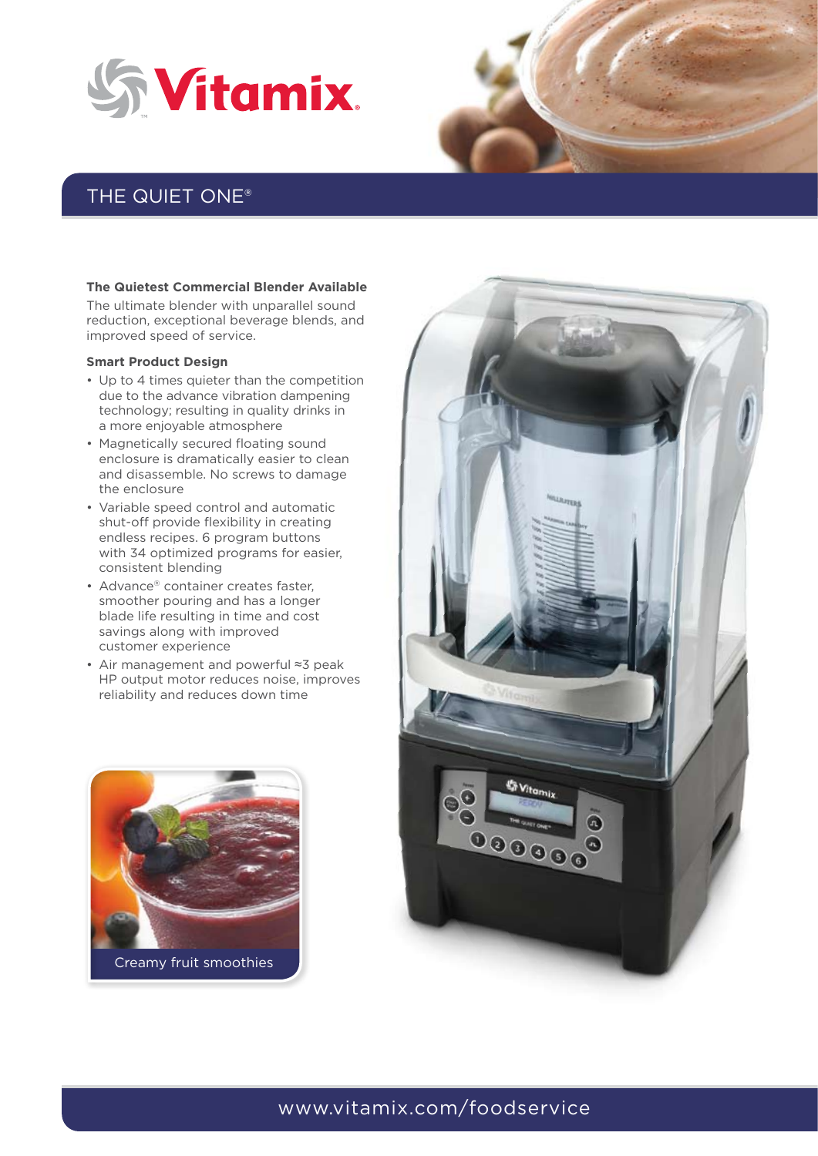



## THE QUIET ONE®

#### **The Quietest Commercial Blender Available**

The ultimate blender with unparallel sound reduction, exceptional beverage blends, and improved speed of service.

#### **Smart Product Design**

- Up to 4 times quieter than the competition due to the advance vibration dampening technology; resulting in quality drinks in a more enjoyable atmosphere
- Magnetically secured floating sound enclosure is dramatically easier to clean and disassemble. No screws to damage the enclosure
- • Variable speed control and automatic shut-off provide flexibility in creating endless recipes. 6 program buttons with 34 optimized programs for easier, consistent blending
- Advance® container creates faster, smoother pouring and has a longer blade life resulting in time and cost savings along with improved customer experience
- • Air management and powerful ≈3 peak HP output motor reduces noise, improves reliability and reduces down time





### www.vitamix.com/foodservice